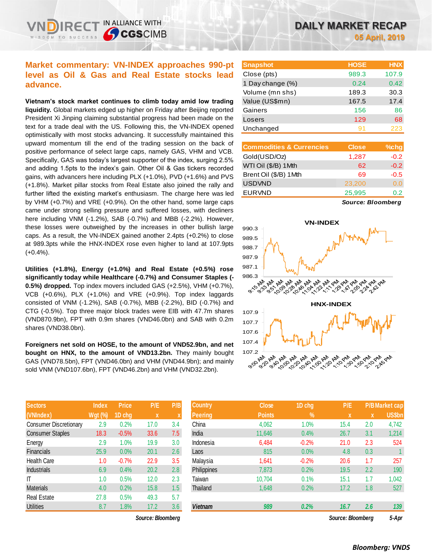## **Market commentary: VN-INDEX approaches 990-pt level as Oil & Gas and Real Estate stocks lead advance.**

IN ALLIANCE WITH

**SCGSCIMB** 

**Vietnam's stock market continues to climb today amid low trading liquidity.** Global markets edged up higher on Friday after Beijing reported President Xi Jinping claiming substantial progress had been made on the text for a trade deal with the US. Following this, the VN-INDEX opened optimistically with most stocks advancing. It successfully maintained this upward momentum till the end of the trading session on the back of positive performance of select large caps, namely GAS, VHM and VCB. Specifically, GAS was today's largest supporter of the index, surging 2.5% and adding 1.5pts to the index's gain. Other Oil & Gas tickers recorded gains, with advancers here including PLX (+1.0%), PVD (+1.6%) and PVS (+1.8%). Market pillar stocks from Real Estate also joined the rally and further lifted the existing market's enthusiasm. The charge here was led by VHM (+0.7%) and VRE (+0.9%). On the other hand, some large caps came under strong selling pressure and suffered losses, with decliners here including VNM (-1.2%), SAB (-0.7%) and MBB (-2.2%). However, these losses were outweighed by the increases in other bullish large caps. As a result, the VN-INDEX gained another 2.4pts (+0.2%) to close at 989.3pts while the HNX-INDEX rose even higher to land at 107.9pts (+0.4%).

**Utilities (+1.8%), Energy (+1.0%) and Real Estate (+0.5%) rose significantly today while Healthcare (-0.7%) and Consumer Staples (- 0.5%) dropped.** Top index movers included GAS (+2.5%), VHM (+0.7%), VCB (+0.6%), PLX (+1.0%) and VRE (+0.9%). Top index laggards consisted of VNM (-1.2%), SAB (-0.7%), MBB (-2.2%), BID (-0.7%) and CTG (-0.5%). Top three major block trades were EIB with 47.7m shares (VND870.9bn), FPT with 0.9m shares (VND46.0bn) and SAB with 0.2m shares (VND38.0bn).

**Foreigners net sold on HOSE, to the amount of VND52.9bn, and net bought on HNX, to the amount of VND13.2bn.** They mainly bought GAS (VND78.5bn), FPT (VND46.0bn) and VHM (VND44.9bn); and mainly sold VNM (VND107.6bn), FPT (VND46.2bn) and VHM (VND32.2bn).

| <b>Sectors</b>                | <b>Index</b>   | <b>Price</b> | P/E  | P/B |
|-------------------------------|----------------|--------------|------|-----|
| (VNIndex)                     | <b>Wgt (%)</b> | 1D chg       | X    | X   |
| <b>Consumer Discretionary</b> | 2.9            | 0.2%         | 17.0 | 3.4 |
| <b>Consumer Staples</b>       | 18.3           | $-0.5%$      | 33.6 | 7.5 |
| Energy                        | 2.9            | 1.0%         | 19.9 | 3.0 |
| <b>Financials</b>             | 25.9           | 0.0%         | 20.1 | 2.6 |
| Health Care                   | 1.0            | $-0.7%$      | 22.9 | 3.5 |
| <b>Industrials</b>            | 6.9            | 0.4%         | 20.2 | 2.8 |
| ΙT                            | 1.0            | 0.5%         | 12.0 | 2.3 |
| <b>Materials</b>              | 4.0            | 0.2%         | 15.8 | 1.5 |
| <b>Real Estate</b>            | 27.8           | 0.5%         | 49.3 | 5.7 |
| <b>Utilities</b>              | 8.7            | 1.8%         | 17.2 | 3.6 |

 $Source: Bloomberg$ 

| <b>Snapshot</b>          | <b>HOSE</b> | <b>HNX</b>    |
|--------------------------|-------------|---------------|
| Close (pts)              | 989.3       | 107.9         |
| 1 Day change (%)         | 0.24        | 0.42          |
| Volume (mn shs)          | 189.3       | 30.3          |
| Value (US\$mn)           | 167.5       | 17.4          |
| Gainers                  | 156         | 86            |
| Losers                   | 129         | 68            |
| Unchanged                | 91          | 223           |
|                          |             |               |
| Commodities & Currencies | Masa        | $0/\gamma$ hn |

| <b>Commodities &amp; Currencies</b> | <b>Close</b> | $%$ chg |
|-------------------------------------|--------------|---------|
| Gold(USD/Oz)                        | 1,287        | $-0.2$  |
| WTI Oil (\$/B) 1Mth                 | 62           | $-0.2$  |
| Brent Oil (\$/B) 1Mth               | 69           | $-0.5$  |
| <b>USDVND</b>                       | 23,200       | 0.0     |
| <b>EURVND</b>                       | 25,995       | 0.2     |
|                                     |              |         |

*Source: Bloomberg*



| <b>Sectors</b>          | <b>Index</b>   | <b>Price</b> | P/E               | P/B | <b>Country</b> | <b>Close</b>  | 1D chg         | P/E               |     | <b>P/B</b> Market cap |
|-------------------------|----------------|--------------|-------------------|-----|----------------|---------------|----------------|-------------------|-----|-----------------------|
| (VNIndex)               | <b>Wgt (%)</b> | 1D cha       | $\mathbf{x}$      | X   | <b>Peering</b> | <b>Points</b> | $\mathbf{V}_0$ | IX.               | X   | <b>US\$bn</b>         |
| Consumer Discretionary  | 2.9            | 0.2%         | 17.0              | 3.4 | China          | 4,062         | $1.0\%$        | 15.4              | 2.0 | 4,742                 |
| <b>Consumer Staples</b> | 18.3           | $-0.5%$      | 33.6              | 7.5 | India          | 11,646        | 0.4%           | 26.7              | 3.1 | 1,214                 |
| Energy                  | 2.9            | $1.0\%$      | 19.9              | 3.0 | Indonesia      | 6,484         | $-0.2%$        | 21.0              | 2.3 | 524                   |
| Financials              | 25.9           | $0.0\%$      | 20.1              | 2.6 | Laos           | 815           | 0.0%           | 4.8               | 0.3 |                       |
| Health Care             | 1.0            | $-0.7%$      | 22.9              | 3.5 | Malaysia       | 1,641         | $-0.2%$        | 20.6              | 1.7 | 257                   |
| Industrials             | 6.9            | 0.4%         | 20.2              | 2.8 | Philippines    | 7,873         | 0.2%           | 19.5              | 2.2 | 190                   |
| Τ                       | 1.0            | 0.5%         | 12.0              | 2.3 | Taiwan         | 10,704        | 0.1%           | 15.1              | 1.7 | 1,042                 |
| Materials               | 4.0            | 0.2%         | 15.8              | 1.5 | Thailand       | 1,648         | 0.2%           | 17.2              | 1.8 | 527                   |
| Real Estate             | 27.8           | 0.5%         | 49.3              | 5.7 |                |               |                |                   |     |                       |
| <b>Utilities</b>        | 8.7            | 1.8%         | 17.2              | 3.6 | <b>Vietnam</b> | 989           | 0.2%           | 16.7              | 2.6 | 139                   |
|                         |                |              | Source: Bloombarn |     |                |               |                | Source: Bloomberg |     | 5-Anr                 |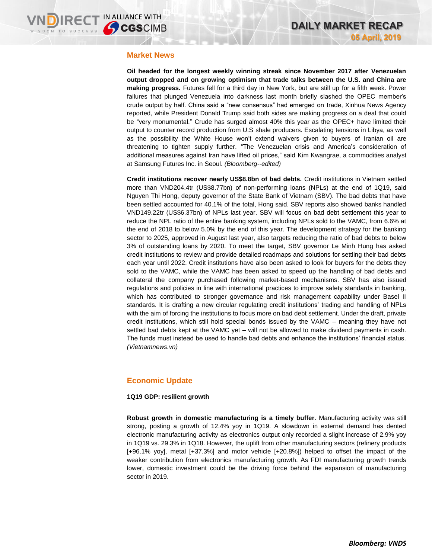### **Market News**

**Oil headed for the longest weekly winning streak since November 2017 after Venezuelan output dropped and on growing optimism that trade talks between the U.S. and China are making progress.** Futures fell for a third day in New York, but are still up for a fifth week. Power failures that plunged Venezuela into darkness last month briefly slashed the OPEC member's crude output by half. China said a "new consensus" had emerged on trade, Xinhua News Agency reported, while President Donald Trump said both sides are making progress on a deal that could be "very monumental." Crude has surged almost 40% this year as the OPEC+ have limited their output to counter record production from U.S shale producers. Escalating tensions in Libya, as well as the possibility the White House won't extend waivers given to buyers of Iranian oil are threatening to tighten supply further. "The Venezuelan crisis and America's consideration of additional measures against Iran have lifted oil prices," said Kim Kwangrae, a commodities analyst at Samsung Futures Inc. in Seoul. *(Bloomberg--edited)* 

**Credit institutions recover nearly US\$8.8bn of bad debts.** Credit institutions in Vietnam settled more than VND204.4tr (US\$8.77bn) of non-performing loans (NPLs) at the end of 1Q19, said Nguyen Thi Hong, deputy governor of the State Bank of Vietnam (SBV). The bad debts that have been settled accounted for 40.1% of the total, Hong said. SBV reports also showed banks handled VND149.22tr (US\$6.37bn) of NPLs last year. SBV will focus on bad debt settlement this year to reduce the NPL ratio of the entire banking system, including NPLs sold to the VAMC, from 6.6% at the end of 2018 to below 5.0% by the end of this year. The development strategy for the banking sector to 2025, approved in August last year, also targets reducing the ratio of bad debts to below 3% of outstanding loans by 2020. To meet the target, SBV governor Le Minh Hung has asked credit institutions to review and provide detailed roadmaps and solutions for settling their bad debts each year until 2022. Credit institutions have also been asked to look for buyers for the debts they sold to the VAMC, while the VAMC has been asked to speed up the handling of bad debts and collateral the company purchased following market-based mechanisms. SBV has also issued regulations and policies in line with international practices to improve safety standards in banking, which has contributed to stronger governance and risk management capability under Basel II standards. It is drafting a new circular regulating credit institutions' trading and handling of NPLs with the aim of forcing the institutions to focus more on bad debt settlement. Under the draft, private credit institutions, which still hold special bonds issued by the VAMC – meaning they have not settled bad debts kept at the VAMC yet – will not be allowed to make dividend payments in cash. The funds must instead be used to handle bad debts and enhance the institutions' financial status. *(Vietnamnews.vn)*

## **Economic Update**

#### **1Q19 GDP: resilient growth**

**Robust growth in domestic manufacturing is a timely buffer**. Manufacturing activity was still strong, posting a growth of 12.4% yoy in 1Q19. A slowdown in external demand has dented electronic manufacturing activity as electronics output only recorded a slight increase of 2.9% yoy in 1Q19 vs. 29.3% in 1Q18. However, the uplift from other manufacturing sectors (refinery products [+96.1% yoy], metal [+37.3%] and motor vehicle [+20.8%]) helped to offset the impact of the weaker contribution from electronics manufacturing growth. As FDI manufacturing growth trends lower, domestic investment could be the driving force behind the expansion of manufacturing sector in 2019.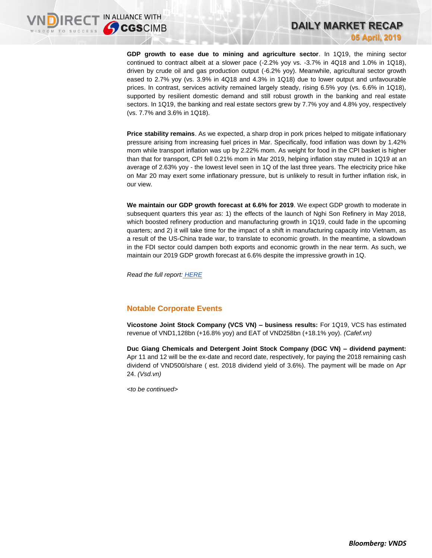**GDP growth to ease due to mining and agriculture sector**. In 1Q19, the mining sector continued to contract albeit at a slower pace (-2.2% yoy vs. -3.7% in 4Q18 and 1.0% in 1Q18), driven by crude oil and gas production output (-6.2% yoy). Meanwhile, agricultural sector growth eased to 2.7% yoy (vs. 3.9% in 4Q18 and 4.3% in 1Q18) due to lower output and unfavourable prices. In contrast, services activity remained largely steady, rising 6.5% yoy (vs. 6.6% in 1Q18), supported by resilient domestic demand and still robust growth in the banking and real estate sectors. In 1Q19, the banking and real estate sectors grew by 7.7% yoy and 4.8% yoy, respectively (vs. 7.7% and 3.6% in 1Q18).

**Price stability remains**. As we expected, a sharp drop in pork prices helped to mitigate inflationary pressure arising from increasing fuel prices in Mar. Specifically, food inflation was down by 1.42% mom while transport inflation was up by 2.22% mom. As weight for food in the CPI basket is higher than that for transport, CPI fell 0.21% mom in Mar 2019, helping inflation stay muted in 1Q19 at an average of 2.63% yoy - the lowest level seen in 1Q of the last three years. The electricity price hike on Mar 20 may exert some inflationary pressure, but is unlikely to result in further inflation risk, in our view.

**We maintain our GDP growth forecast at 6.6% for 2019**. We expect GDP growth to moderate in subsequent quarters this year as: 1) the effects of the launch of Nghi Son Refinery in May 2018, which boosted refinery production and manufacturing growth in 1Q19, could fade in the upcoming quarters; and 2) it will take time for the impact of a shift in manufacturing capacity into Vietnam, as a result of the US-China trade war, to translate to economic growth. In the meantime, a slowdown in the FDI sector could dampen both exports and economic growth in the near term. As such, we maintain our 2019 GDP growth forecast at 6.6% despite the impressive growth in 1Q.

*Read the full report: [HERE](https://brokingrfs.cimb.com/qlW1qTt2aPNlbZU42B2CHLDJ3m48QGH5qO63z6GMxuSWedf_WjQ7lAH9dzJl3SD-_isPuZa-C-oglg5n0.pdf)*

## **Notable Corporate Events**

**Vicostone Joint Stock Company (VCS VN) – business results:** For 1Q19, VCS has estimated revenue of VND1,128bn (+16.8% yoy) and EAT of VND258bn (+18.1% yoy). *(Cafef.vn)*

**Duc Giang Chemicals and Detergent Joint Stock Company (DGC VN) – dividend payment:** Apr 11 and 12 will be the ex-date and record date, respectively, for paying the 2018 remaining cash dividend of VND500/share ( est. 2018 dividend yield of 3.6%). The payment will be made on Apr 24. *(Vsd.vn)*

*<to be continued>*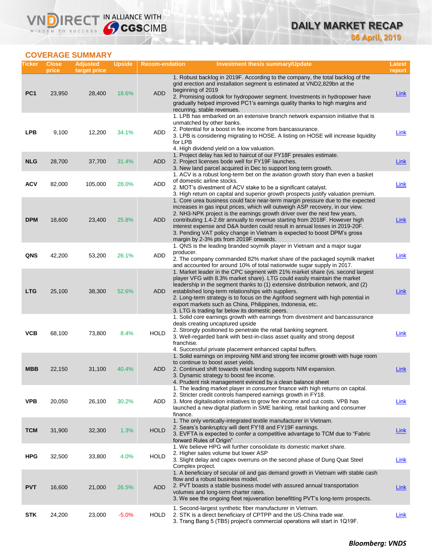# **DAILY MARKET RECAP 05 April, 2019**

# **COVERAGE SUMMARY**

VND

| Ticker          | <b>Close</b><br>price | <b>Adjusted</b><br>target price | <b>Upside</b> | <b>Recom-endation</b> | Investment thesis summary/Update                                                                                                                                                                                                                                                                                                                                                                                                                                                                                                 | Latest<br>report |
|-----------------|-----------------------|---------------------------------|---------------|-----------------------|----------------------------------------------------------------------------------------------------------------------------------------------------------------------------------------------------------------------------------------------------------------------------------------------------------------------------------------------------------------------------------------------------------------------------------------------------------------------------------------------------------------------------------|------------------|
| PC <sub>1</sub> | 23,950                | 28,400                          | 18.6%         | <b>ADD</b>            | 1. Robust backlog in 2019F. According to the company, the total backlog of the<br>grid erection and installation segment is estimated at VND2,829bn at the<br>beginning of 2019<br>2. Promising outlook for hydropower segment. Investments in hydropower have<br>gradually helped improved PC1's earnings quality thanks to high margins and<br>recurring, stable revenues.                                                                                                                                                     | <b>Link</b>      |
| <b>LPB</b>      | 9,100                 | 12,200                          | 34.1%         | <b>ADD</b>            | 1. LPB has embarked on an extensive branch network expansion initiative that is<br>unmatched by other banks.<br>2. Potential for a boost in fee income from bancassurance.<br>3. LPB is considering migrating to HOSE. A listing on HOSE will increase liquidity<br>for LPB<br>4. High dividend yield on a low valuation.                                                                                                                                                                                                        | <b>Link</b>      |
| <b>NLG</b>      | 28,700                | 37,700                          | 31.4%         | <b>ADD</b>            | 1. Project delay has led to haircut of our FY18F presales estimate.<br>2. Project licenses bode well for FY19F launches.<br>3. New land parcel acquired in Dec to support long term growth.                                                                                                                                                                                                                                                                                                                                      | <b>Link</b>      |
| <b>ACV</b>      | 82,000                | 105,000                         | 28.0%         | <b>ADD</b>            | 1. ACV is a robust long-term bet on the aviation growth story than even a basket<br>of domestic airline stocks.<br>2. MOT's divestment of ACV stake to be a significant catalyst.<br>3. High return on capital and superior growth prospects justify valuation premium.                                                                                                                                                                                                                                                          | <b>Link</b>      |
| <b>DPM</b>      | 18,600                | 23,400                          | 25.8%         | ADD                   | 1. Core urea business could face near-term margin pressure due to the expected<br>increases in gas input prices, which will outweigh ASP recovery, in our view.<br>2. NH3-NPK project is the earnings growth driver over the next few years,<br>contributing 1.4-2.6tr annually to revenue starting from 2018F. However high<br>interest expense and D&A burden could result in annual losses in 2019-20F.<br>3. Pending VAT policy change in Vietnam is expected to boost DPM's gross<br>margin by 2-3% pts from 2019F onwards. | <b>Link</b>      |
| QNS             | 42,200                | 53,200                          | 26.1%         | <b>ADD</b>            | 1. QNS is the leading branded soymilk player in Vietnam and a major sugar<br>producer.<br>2. The company commanded 82% market share of the packaged soymilk market<br>and accounted for around 10% of total nationwide sugar supply in 2017.                                                                                                                                                                                                                                                                                     | <u>Link</u>      |
| <b>LTG</b>      | 25,100                | 38,300                          | 52.6%         | <b>ADD</b>            | 1. Market leader in the CPC segment with 21% market share (vs. second largest<br>player VFG with 8.3% market share). LTG could easily maintain the market<br>leadership in the segment thanks to (1) extensive distribution network, and (2)<br>established long-term relationships with suppliers.<br>2. Long-term strategy is to focus on the Agrifood segment with high potential in<br>export markets such as China, Philippines, Indonesia, etc.<br>3. LTG is trading far below its domestic peers.                         | Link             |
| <b>VCB</b>      | 68,100                | 73,800                          | 8.4%          | <b>HOLD</b>           | 1. Solid core earnings growth with earnings from divestment and bancassurance<br>deals creating uncaptured upside<br>2. Strongly positioned to penetrate the retail banking segment.<br>3. Well-regarded bank with best-in-class asset quality and strong deposit<br>franchise.<br>4. Successful private placement enhanced capital buffers.                                                                                                                                                                                     | Link             |
| MBB             | 22,150                | 31,100                          | 40.4%         | ADD                   | 1. Solid earnings on improving NIM and strong fee income growth with huge room<br>to continue to boost asset yields.<br>2. Continued shift towards retail lending supports NIM expansion.<br>3. Dynamic strategy to boost fee income.<br>4. Prudent risk management evinced by a clean balance sheet                                                                                                                                                                                                                             | Link             |
| <b>VPB</b>      | 20,050                | 26,100                          | 30.2%         | ADD                   | 1. The leading market player in consumer finance with high returns on capital.<br>2. Stricter credit controls hampered earnings growth in FY18.<br>3. More digitalisation initiatives to grow fee income and cut costs. VPB has<br>launched a new digital platform in SME banking, retail banking and consumer<br>finance.                                                                                                                                                                                                       | <b>Link</b>      |
| <b>TCM</b>      | 31,900                | 32,300                          | 1.3%          | <b>HOLD</b>           | 1. The only vertically-integrated textile manufacturer in Vietnam.<br>2. Sears's bankruptcy will dent FY18 and FY19F earnings.<br>3. EVFTA is expected to confer a competitive advantage to TCM due to "Fabric"<br>forward Rules of Origin"                                                                                                                                                                                                                                                                                      | <b>Link</b>      |
| <b>HPG</b>      | 32,500                | 33,800                          | 4.0%          | <b>HOLD</b>           | 1. We believe HPG will further consolidate its domestic market share.<br>2. Higher sales volume but lower ASP<br>3. Slight delay and capex overruns on the second phase of Dung Quat Steel<br>Complex project.                                                                                                                                                                                                                                                                                                                   | <b>Link</b>      |
| <b>PVT</b>      | 16,600                | 21,000                          | 26.5%         | <b>ADD</b>            | 1. A beneficiary of secular oil and gas demand growth in Vietnam with stable cash<br>flow and a robust business model.<br>2. PVT boasts a stable business model with assured annual transportation<br>volumes and long-term charter rates.<br>3. We see the ongoing fleet rejuvenation benefitting PVT's long-term prospects.                                                                                                                                                                                                    | <b>Link</b>      |
| <b>STK</b>      | 24,200                | 23,000                          | $-5.0%$       | <b>HOLD</b>           | 1. Second-largest synthetic fiber manufacturer in Vietnam.<br>2. STK is a direct beneficiary of CPTPP and the US-China trade war.<br>3. Trang Bang 5 (TB5) project's commercial operations will start in 1Q19F.                                                                                                                                                                                                                                                                                                                  | <b>Link</b>      |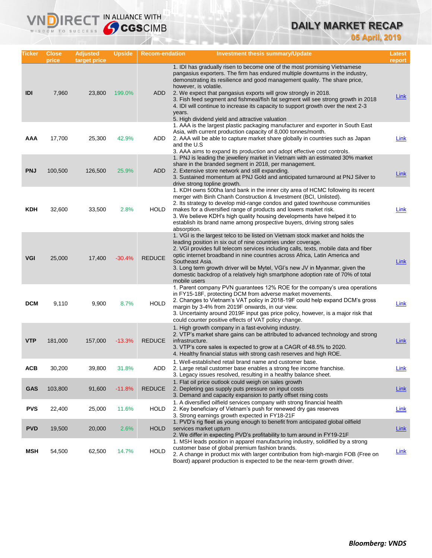# **DAILY MARKET RECAP**

**05 April, 2019**

| Ticker     | <b>Close</b><br>price | <b>Adjusted</b><br>target price | <b>Upside</b> | <b>Recom-endation</b> | Investment thesis summary/Update                                                                                                                                                                                                                                                                                                                                                                                                                                                                                                                                            | Latest<br>report |
|------------|-----------------------|---------------------------------|---------------|-----------------------|-----------------------------------------------------------------------------------------------------------------------------------------------------------------------------------------------------------------------------------------------------------------------------------------------------------------------------------------------------------------------------------------------------------------------------------------------------------------------------------------------------------------------------------------------------------------------------|------------------|
| IDI        | 7,960                 | 23,800                          | 199.0%        | ADD                   | 1. IDI has gradually risen to become one of the most promising Vietnamese<br>pangasius exporters. The firm has endured multiple downturns in the industry,<br>demonstrating its resilience and good management quality. The share price,<br>however, is volatile.<br>2. We expect that pangasius exports will grow strongly in 2018.<br>3. Fish feed segment and fishmeal/fish fat segment will see strong growth in 2018<br>4. IDI will continue to increase its capacity to support growth over the next 2-3<br>years.<br>5. High dividend yield and attractive valuation | <u>Link</u>      |
| AAA        | 17,700                | 25,300                          | 42.9%         | ADD                   | 1. AAA is the largest plastic packaging manufacturer and exporter in South East<br>Asia, with current production capacity of 8,000 tonnes/month.<br>2. AAA will be able to capture market share globally in countries such as Japan<br>and the U.S<br>3. AAA aims to expand its production and adopt effective cost controls.                                                                                                                                                                                                                                               | Link             |
| <b>PNJ</b> | 100,500               | 126,500                         | 25.9%         | ADD                   | 1. PNJ is leading the jewellery market in Vietnam with an estimated 30% market<br>share in the branded segment in 2018, per management.<br>2. Extensive store network and still expanding.<br>3. Sustained momentum at PNJ Gold and anticipated turnaround at PNJ Silver to<br>drive strong topline growth.                                                                                                                                                                                                                                                                 | <u>Link</u>      |
| <b>KDH</b> | 32,600                | 33,500                          | 2.8%          | HOLD                  | 1. KDH owns 500ha land bank in the inner city area of HCMC following its recent<br>merger with Binh Chanh Construction & Investment (BCI, Unlisted).<br>2. Its strategy to develop mid-range condos and gated townhouse communities<br>makes for a diversified range of products and lowers market risk.<br>3. We believe KDH's high quality housing developments have helped it to<br>establish its brand name among prospective buyers, driving strong sales<br>absorption.                                                                                               | <b>Link</b>      |
| <b>VGI</b> | 25,000                | 17,400                          | $-30.4%$      | <b>REDUCE</b>         | 1. VGI is the largest telco to be listed on Vietnam stock market and holds the<br>leading position in six out of nine countries under coverage.<br>2. VGI provides full telecom services including calls, texts, mobile data and fiber<br>optic internet broadband in nine countries across Africa, Latin America and<br>Southeast Asia.<br>3. Long term growth driver will be Mytel, VGI's new JV in Myanmar, given the<br>domestic backdrop of a relatively high smartphone adoption rate of 70% of total<br>mobile users                                                 | Link             |
| <b>DCM</b> | 9,110                 | 9,900                           | 8.7%          | <b>HOLD</b>           | 1. Parent company PVN guarantees 12% ROE for the company's urea operations<br>in FY15-18F, protecting DCM from adverse market movements.<br>2. Changes to Vietnam's VAT policy in 2018-19F could help expand DCM's gross<br>margin by 3-4% from 2019F onwards, in our view.<br>3. Uncertainty around 2019F input gas price policy, however, is a major risk that<br>could counter positive effects of VAT policy change.                                                                                                                                                    | Link             |
| <b>VTP</b> | 181,000               | 157,000                         | $-13.3%$      | <b>REDUCE</b>         | 1. High growth company in a fast-evolving industry.<br>2. VTP's market share gains can be attributed to advanced technology and strong<br>infrastructure.<br>3. VTP's core sales is expected to grow at a CAGR of 48.5% to 2020.<br>4. Healthy financial status with strong cash reserves and high ROE.                                                                                                                                                                                                                                                                     | Link             |
| <b>ACB</b> | 30,200                | 39,800                          | 31.8%         | ADD                   | 1. Well-established retail brand name and customer base.<br>2. Large retail customer base enables a strong fee income franchise.<br>3. Legacy issues resolved, resulting in a healthy balance sheet.                                                                                                                                                                                                                                                                                                                                                                        | Link             |
| <b>GAS</b> | 103,800               | 91,600                          | $-11.8%$      | <b>REDUCE</b>         | 1. Flat oil price outlook could weigh on sales growth<br>2. Depleting gas supply puts pressure on input costs<br>3. Demand and capacity expansion to partly offset rising costs                                                                                                                                                                                                                                                                                                                                                                                             | <b>Link</b>      |
| <b>PVS</b> | 22,400                | 25,000                          | 11.6%         | <b>HOLD</b>           | 1. A diversified oilfield services company with strong financial health<br>2. Key beneficiary of Vietnam's push for renewed dry gas reserves<br>3. Strong earnings growth expected in FY18-21F                                                                                                                                                                                                                                                                                                                                                                              | Link             |
| <b>PVD</b> | 19,500                | 20,000                          | 2.6%          | <b>HOLD</b>           | 1. PVD's rig fleet as young enough to benefit from anticipated global oilfield<br>services market upturn<br>2. We differ in expecting PVD's profitability to turn around in FY19-21F                                                                                                                                                                                                                                                                                                                                                                                        | <b>Link</b>      |
| <b>MSH</b> | 54,500                | 62,500                          | 14.7%         | <b>HOLD</b>           | 1. MSH leads position in apparel manufacturing industry, solidified by a strong<br>customer base of global premium fashion brands.<br>2. A change in product mix with larger contribution from high-margin FOB (Free on<br>Board) apparel production is expected to be the near-term growth driver.                                                                                                                                                                                                                                                                         | <b>Link</b>      |

**VNDIRECT IN ALLIANCE WITH**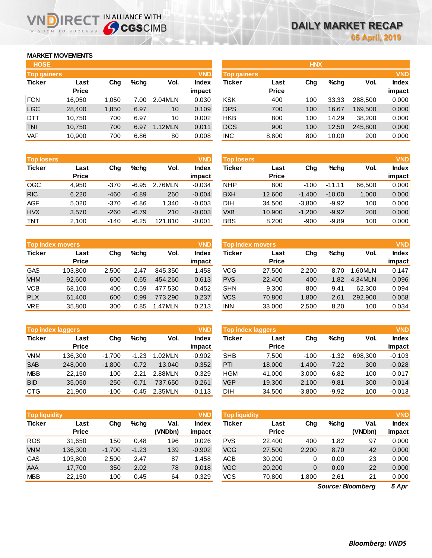## **MARKET MOVEMENTS**

WISDOM TO SUCCESS

n

**IRECT** 

| <b>HOSE</b>        |              |       |      |         |              |
|--------------------|--------------|-------|------|---------|--------------|
| <b>Top gainers</b> |              |       |      |         | <b>VND</b>   |
| <b>Ticker</b>      | Last         | Cha   | %chq | Vol.    | <b>Index</b> |
|                    | <b>Price</b> |       |      |         | impact       |
| <b>FCN</b>         | 16,050       | 1,050 | 7.00 | 2.04MLN | 0.030        |
| <b>LGC</b>         | 28,400       | 1,850 | 6.97 | 10      | 0.109        |
| DTT                | 10,750       | 700   | 6.97 | 10      | 0.002        |
| <b>TNI</b>         | 10,750       | 700   | 6.97 | 1.12MLN | 0.011        |
| <b>VAF</b>         | 10,900       | 700   | 6.86 | 80      | 0.008        |

IN ALLIANCE WITH

| <b>Top losers</b> |              |        |         |         | <b>VND</b>   |
|-------------------|--------------|--------|---------|---------|--------------|
| <b>Ticker</b>     | Last         | Cha    | %chq    | Vol.    | <b>Index</b> |
|                   | <b>Price</b> |        |         |         | impact       |
| <b>OGC</b>        | 4.950        | $-370$ | $-6.95$ | 2.76MLN | $-0.034$     |
| <b>RIC</b>        | 6,220        | $-460$ | $-6.89$ | 260     | $-0.004$     |
| <b>AGF</b>        | 5.020        | $-370$ | $-6.86$ | 1.340   | $-0.003$     |
| <b>HVX</b>        | 3,570        | $-260$ | $-6.79$ | 210     | $-0.003$     |
| <b>TNT</b>        | 2,100        | -140   | -6.25   | 121,810 | $-0.001$     |

| <b>Top index movers</b> |              |       |      |         |              |  |  |  |  |
|-------------------------|--------------|-------|------|---------|--------------|--|--|--|--|
| <b>Ticker</b>           | Last         | Cha   | %chq | Vol.    | <b>Index</b> |  |  |  |  |
|                         | <b>Price</b> |       |      |         | impact       |  |  |  |  |
| <b>GAS</b>              | 103,800      | 2,500 | 2.47 | 845,350 | 1.458        |  |  |  |  |
| <b>VHM</b>              | 92,600       | 600   | 0.65 | 454.260 | 0.613        |  |  |  |  |
| <b>VCB</b>              | 68,100       | 400   | 0.59 | 477,530 | 0.452        |  |  |  |  |
| <b>PLX</b>              | 61,400       | 600   | 0.99 | 773,290 | 0.237        |  |  |  |  |
| <b>VRE</b>              | 35,800       | 300   | 0.85 | 1.47MLN | 0.213        |  |  |  |  |

| <b>Top index laggers</b> |              |          |         |         |              |  |  |  |  |
|--------------------------|--------------|----------|---------|---------|--------------|--|--|--|--|
| <b>Ticker</b>            | Last         | Cha      | %chq    | Vol.    | <b>Index</b> |  |  |  |  |
|                          | <b>Price</b> |          |         |         | impact       |  |  |  |  |
| <b>VNM</b>               | 136,300      | $-1,700$ | $-1.23$ | 1.02MLN | $-0.902$     |  |  |  |  |
| <b>SAB</b>               | 248,000      | $-1,800$ | $-0.72$ | 13.040  | $-0.352$     |  |  |  |  |
| <b>MBB</b>               | 22,150       | 100      | $-2.21$ | 2.88MLN | $-0.329$     |  |  |  |  |
| <b>BID</b>               | 35,050       | $-250$   | $-0.71$ | 737.650 | $-0.261$     |  |  |  |  |
| <b>CTG</b>               | 21,900       | $-100$   | -0.45   | 2.35MLN | $-0.113$     |  |  |  |  |

| <b>VND</b><br><b>Top liquidity</b> |              |          |         |         |              |  |  |  |  |  |
|------------------------------------|--------------|----------|---------|---------|--------------|--|--|--|--|--|
| <b>Ticker</b>                      | Last         | Cha      | %chq    | Val.    | <b>Index</b> |  |  |  |  |  |
|                                    | <b>Price</b> |          |         | (VNDbn) | impact       |  |  |  |  |  |
| <b>ROS</b>                         | 31,650       | 150      | 0.48    | 196     | 0.026        |  |  |  |  |  |
| <b>VNM</b>                         | 136,300      | $-1,700$ | $-1.23$ | 139     | $-0.902$     |  |  |  |  |  |
| <b>GAS</b>                         | 103,800      | 2,500    | 2.47    | 87      | 1.458        |  |  |  |  |  |
| AAA                                | 17,700       | 350      | 2.02    | 78      | 0.018        |  |  |  |  |  |
| <b>MBB</b>                         | 22,150       | 100      | 0.45    | 64      | $-0.329$     |  |  |  |  |  |

| <b>HOSE</b>        |              |       |         |         |              |                    |              | <b>HNX</b> |         |         |              |
|--------------------|--------------|-------|---------|---------|--------------|--------------------|--------------|------------|---------|---------|--------------|
| <b>Top gainers</b> |              |       |         |         | <b>VND</b>   | <b>Top gainers</b> |              |            |         |         | <b>VND</b>   |
| Ticker             | Last         | Chg   | $%$ chq | Vol.    | <b>Index</b> | Ticker             | Last         | Chg        | $%$ chq | Vol.    | <b>Index</b> |
|                    | <b>Price</b> |       |         |         | impact       |                    | <b>Price</b> |            |         |         | impact       |
| <b>FCN</b>         | 16,050       | 1,050 | 7.00    | 2.04MLN | 0.030        | <b>KSK</b>         | 400          | 100        | 33.33   | 288,500 | 0.000        |
| LGC                | 28,400       | 1,850 | 6.97    | 10      | 0.109        | <b>DPS</b>         | 700          | 100        | 16.67   | 169,500 | 0.000        |
| DTT                | 10,750       | 700   | 6.97    | 10      | 0.002        | <b>HKB</b>         | 800          | 100        | 14.29   | 38,200  | 0.000        |
| <b>TNI</b>         | 10,750       | 700   | 6.97    | 1.12MLN | 0.011        | <b>DCS</b>         | 900          | 100        | 12.50   | 245,800 | 0.000        |
| <b>VAF</b>         | 10,900       | 700   | 6.86    | 80      | 0.008        | <b>INC</b>         | 8,800        | 800        | 10.00   | 200     | 0.000        |
|                    |              |       |         |         |              |                    |              |            |         |         |              |

| <b>Top losers</b> |              |        |         |         | <b>VND</b>   | Top losers |              |          |          |        | <b>VND</b>   |
|-------------------|--------------|--------|---------|---------|--------------|------------|--------------|----------|----------|--------|--------------|
| Ticker            | Last         | Chg    | $%$ chq | Vol.    | <b>Index</b> | Ticker     | Last         | Chg      | $%$ chq  | Vol.   | <b>Index</b> |
|                   | <b>Price</b> |        |         |         | impact       |            | <b>Price</b> |          |          |        | impact       |
| OGC               | 4,950        | $-370$ | $-6.95$ | 2.76MLN | $-0.034$     | <b>NHP</b> | 800          | $-100$   | $-11.11$ | 66.500 | 0.000        |
| <b>RIC</b>        | 6,220        | $-460$ | $-6.89$ | 260     | $-0.004$     | <b>BXH</b> | 12,600       | $-1.400$ | $-10.00$ | 1,000  | 0.000        |
| AGF               | 5,020        | $-370$ | $-6.86$ | .340    | $-0.003$     | DIH        | 34,500       | $-3.800$ | $-9.92$  | 100    | 0.000        |
| <b>HVX</b>        | 3.570        | $-260$ | $-6.79$ | 210     | $-0.003$     | <b>VXB</b> | 10,900       | $-1.200$ | $-9.92$  | 200    | 0.000        |
| TNT               | 2,100        | $-140$ | $-6.25$ | 121,810 | $-0.001$     | <b>BBS</b> | 8,200        | $-900$   | $-9.89$  | 100    | 0.000        |

| Top index movers |                      |       |         |         | <b>VND</b>             | Top index movers |                      |       |         |         |                        |
|------------------|----------------------|-------|---------|---------|------------------------|------------------|----------------------|-------|---------|---------|------------------------|
| Ticker           | Last<br><b>Price</b> | Chg   | $%$ chq | Vol.    | <b>Index</b><br>impact | Ticker           | Last<br><b>Price</b> | Chg   | $%$ chq | Vol.    | <b>Index</b><br>impact |
| GAS              | 103.800              | 2.500 | 2.47    | 845.350 | 1.458                  | VCG              | 27.500               | 2.200 | 8.70    | .60MLN  | 0.147                  |
| <b>VHM</b>       | 92,600               | 600   | 0.65    | 454.260 | 0.613                  | <b>PVS</b>       | 22,400               | 400   | 1.82    | 4.34MLN | 0.096                  |
| <b>VCB</b>       | 68.100               | 400   | 0.59    | 477.530 | 0.452                  | <b>SHN</b>       | 9.300                | 800   | 9.41    | 62.300  | 0.094                  |
| <b>PLX</b>       | 61.400               | 600   | 0.99    | 773.290 | 0.237                  | <b>VCS</b>       | 70,800               | 1,800 | 2.61    | 292.900 | 0.058                  |
| <b>VRE</b>       | 35,800               | 300   | 0.85    | 1.47MLN | 0.213                  | <b>INN</b>       | 33,000               | 2,500 | 8.20    | 100     | 0.034                  |

| <b>Top index laggers</b> |                      |          |         |         | <b>VND</b>             | <b>Top index laggers</b> |                      |          |         |         |                 |
|--------------------------|----------------------|----------|---------|---------|------------------------|--------------------------|----------------------|----------|---------|---------|-----------------|
| Ticker                   | Last<br><b>Price</b> | Cha      | $%$ chq | Vol.    | <b>Index</b><br>impact | Ticker                   | Last<br><b>Price</b> | Chg      | $%$ chq | Vol.    | Index<br>impact |
| <b>VNM</b>               | 136.300              | $-1.700$ | $-1.23$ | 1.02MLN | $-0.902$               | <b>SHB</b>               | 7.500                | $-100$   | $-1.32$ | 698.300 | $-0.103$        |
| <b>SAB</b>               | 248,000              | $-1.800$ | $-0.72$ | 13.040  | $-0.352$               | PTI                      | 18,000               | $-1.400$ | $-7.22$ | 300     | $-0.028$        |
| <b>MBB</b>               | 22.150               | 100      | $-2.21$ | 2.88MLN | $-0.329$               | HGM                      | 41.000               | $-3.000$ | $-6.82$ | 100     | $-0.017$        |
| <b>BID</b>               | 35,050               | $-250$   | $-0.71$ | 737.650 | $-0.261$               | <b>VGP</b>               | 19,300               | $-2.100$ | $-9.81$ | 300     | $-0.014$        |
| CTG                      | 21,900               | $-100$   | $-0.45$ | 2.35MLN | $-0.113$               | DIH                      | 34,500               | $-3,800$ | $-9.92$ | 100     | $-0.013$        |

| Top liquidity |              |          |         |         | <b>VND</b>   | <b>Top liquidity</b> |              |       |         |                   | <b>VND</b>   |
|---------------|--------------|----------|---------|---------|--------------|----------------------|--------------|-------|---------|-------------------|--------------|
| Ticker        | Last         | Chg      | $%$ chq | Val.    | <b>Index</b> | Ticker               | Last         | Chg   | $%$ chq | Val.              | <b>Index</b> |
|               | <b>Price</b> |          |         | (VNDbn) | impact       |                      | <b>Price</b> |       |         | (VNDbn)           | impact       |
| <b>ROS</b>    | 31,650       | 150      | 0.48    | 196     | 0.026        | <b>PVS</b>           | 22.400       | 400   | 1.82    | 97                | 0.000        |
| <b>VNM</b>    | 136,300      | $-1,700$ | $-1.23$ | 139     | $-0.902$     | <b>VCG</b>           | 27,500       | 2,200 | 8.70    | 42                | 0.000        |
| GAS           | 103.800      | 2,500    | 2.47    | 87      | 1.458        | <b>ACB</b>           | 30.200       |       | 0.00    | 23                | 0.000        |
| AAA           | 17,700       | 350      | 2.02    | 78      | 0.018        | <b>VGC</b>           | 20,200       | 0     | 0.00    | 22                | 0.000        |
| <b>MBB</b>    | 22,150       | 100      | 0.45    | 64      | $-0.329$     | VCS                  | 70,800       | 1,800 | 2.61    | 21                | 0.000        |
|               |              |          |         |         |              |                      |              |       |         | Source: Bloomberg | 5 Apr        |

*5 Apr Source: Bloomberg*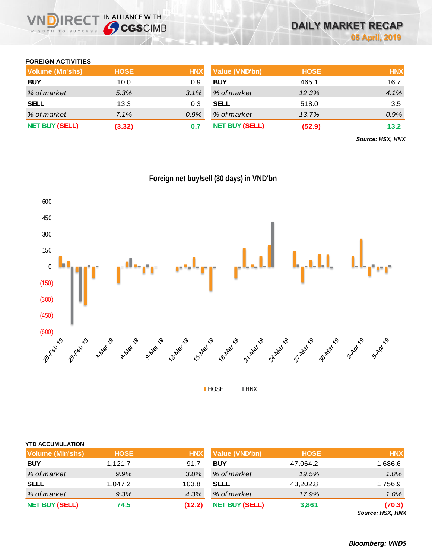## **FOREIGN ACTIVITIES**

| Volume (Mn'shs)       | <b>HOSE</b> | <b>HNX</b> | <b>Value (VND'bn)</b> | <b>HOSE</b> | <b>HNX</b> |
|-----------------------|-------------|------------|-----------------------|-------------|------------|
| <b>BUY</b>            | 10.0        | 0.9        | <b>BUY</b>            | 465.1       | 16.7       |
| % of market           | 5.3%        | $3.1\%$    | % of market           | 12.3%       | 4.1%       |
| <b>SELL</b>           | 13.3        | 0.3        | <b>SELL</b>           | 518.0       | 3.5        |
| % of market           | 7.1%        | $0.9\%$    | % of market           | 13.7%       | 0.9%       |
| <b>NET BUY (SELL)</b> | (3.32)      |            | <b>NET BUY (SELL)</b> | (52.9)      | 13.2       |

*Source: HSX, HNX*



**Foreign net buy/sell (30 days) in VND'bn**

**HOSE HNX** 

| <b>HOSE</b> | <b>HNX</b> | <b>Value (VND'bn)</b> | <b>HOSE</b> | <b>HNX</b>               |
|-------------|------------|-----------------------|-------------|--------------------------|
| 1.121.7     | 91.7       | <b>BUY</b>            | 47,064.2    | 6.686. ا                 |
| 9.9%        | 3.8%       | % of market           | 19.5%       | 1.0%                     |
| 1,047.2     | 103.8      | <b>SELL</b>           | 43,202.8    | 1,756.9                  |
| 9.3%        | 4.3%       | % of market           | 17.9%       | 1.0%                     |
| 74.5        | (12.2)     | <b>NET BUY (SELL)</b> | 3,861       | (70.3)<br>$0.110M$ $\mu$ |
|             |            |                       |             |                          |

*Source: HSX, HNX*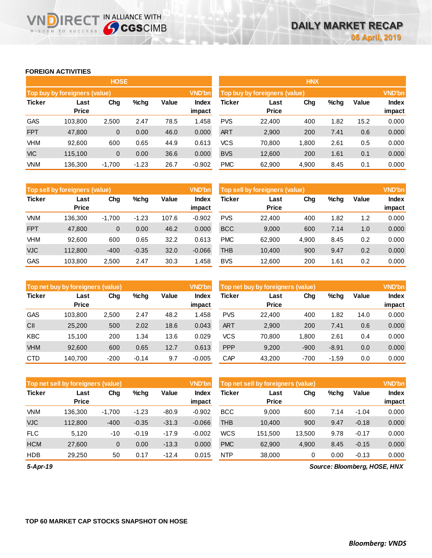## **FOREIGN ACTIVITIES**

WISDOM TO SUCCESS

**VNDIRECT IN ALLIANCE WITH** 

|               |                               | <b>HOSE</b> |         |       |                        | <b>HNX</b>                    |                      |       |      |       |                 |  |
|---------------|-------------------------------|-------------|---------|-------|------------------------|-------------------------------|----------------------|-------|------|-------|-----------------|--|
|               | Top buy by foreigners (value) |             |         |       | <b>VND'bn</b>          | Top buy by foreigners (value) |                      |       |      |       |                 |  |
| <b>Ticker</b> | Last<br><b>Price</b>          | Chg         | $%$ chg | Value | <b>Index</b><br>impact | Ticker                        | Last<br><b>Price</b> | Chg   | %chg | Value | Index<br>impact |  |
| <b>GAS</b>    | 103.800                       | 2,500       | 2.47    | 78.5  | 1.458                  | <b>PVS</b>                    | 22,400               | 400   | 1.82 | 15.2  | 0.000           |  |
| <b>FPT</b>    | 47,800                        | 0           | 0.00    | 46.0  | 0.000                  | <b>ART</b>                    | 2,900                | 200   | 7.41 | 0.6   | 0.000           |  |
| <b>VHM</b>    | 92,600                        | 600         | 0.65    | 44.9  | 0.613                  | <b>VCS</b>                    | 70,800               | 1,800 | 2.61 | 0.5   | 0.000           |  |
| <b>VIC</b>    | 115.100                       | 0           | 0.00    | 36.6  | 0.000                  | <b>BVS</b>                    | 12,600               | 200   | 1.61 | 0.1   | 0.000           |  |
| <b>VNM</b>    | 136,300                       | $-1,700$    | $-1.23$ | 26.7  | $-0.902$               | <b>PMC</b>                    | 62,900               | 4,900 | 8.45 | 0.1   | 0.000           |  |

|               | <b>Top sell by foreigners (value)</b> |          |         |       | <b>VND'bn</b>   | Top sell by foreigners (value), |                      |       |      |       |                        |
|---------------|---------------------------------------|----------|---------|-------|-----------------|---------------------------------|----------------------|-------|------|-------|------------------------|
| <b>Ticker</b> | Last<br><b>Price</b>                  | Chg      | $%$ chg | Value | Index<br>impact | Ticker                          | Last<br><b>Price</b> | Chg   | %chg | Value | <b>Index</b><br>impact |
| <b>VNM</b>    | 136.300                               | $-1,700$ | $-1.23$ | 107.6 | $-0.902$        | <b>PVS</b>                      | 22,400               | 400   | 1.82 | 1.2   | 0.000                  |
| <b>FPT</b>    | 47,800                                | 0        | 0.00    | 46.2  | 0.000           | <b>BCC</b>                      | 9,000                | 600   | 7.14 | 1.0   | 0.000                  |
| <b>VHM</b>    | 92,600                                | 600      | 0.65    | 32.2  | 0.613           | <b>PMC</b>                      | 62,900               | 4,900 | 8.45 | 0.2   | 0.000                  |
| <b>VJC</b>    | 112.800                               | $-400$   | $-0.35$ | 32.0  | $-0.066$        | <b>THB</b>                      | 10,400               | 900   | 9.47 | 0.2   | 0.000                  |
| <b>GAS</b>    | 103.800                               | 2,500    | 2.47    | 30.3  | .458            | <b>BVS</b>                      | 12,600               | 200   | 1.61 | 0.2   | 0.000                  |

|               | Top net buy by foreigners (value) |        |         |       | <b>VND'bn</b>          | Top net buy by foreigners (value) |                      |        |         |       | <b>VND'bn</b>          |  |  |
|---------------|-----------------------------------|--------|---------|-------|------------------------|-----------------------------------|----------------------|--------|---------|-------|------------------------|--|--|
| <b>Ticker</b> | Last<br><b>Price</b>              | Chg    | $%$ chg | Value | <b>Index</b><br>impact | Ticker                            | Last<br><b>Price</b> | Chg    | %chg    | Value | <b>Index</b><br>impact |  |  |
| <b>GAS</b>    | 103.800                           | 2,500  | 2.47    | 48.2  | 1.458                  | <b>PVS</b>                        | 22,400               | 400    | 1.82    | 14.0  | 0.000                  |  |  |
| CII           | 25,200                            | 500    | 2.02    | 18.6  | 0.043                  | <b>ART</b>                        | 2,900                | 200    | 7.41    | 0.6   | 0.000                  |  |  |
| <b>KBC</b>    | 15.100                            | 200    | 1.34    | 13.6  | 0.029                  | VCS                               | 70.800               | 1.800  | 2.61    | 0.4   | 0.000                  |  |  |
| <b>VHM</b>    | 92,600                            | 600    | 0.65    | 12.7  | 0.613                  | <b>PPP</b>                        | 9,200                | $-900$ | $-8.91$ | 0.0   | 0.000                  |  |  |
| <b>CTD</b>    | 140.700                           | $-200$ | $-0.14$ | 9.7   | $-0.005$               | CAP                               | 43,200               | $-700$ | $-1.59$ | 0.0   | 0.000                  |  |  |

|               | Top net sell by foreigners (value) |          |         |         | <b>VND'bn</b> | Top net sell by foreigners (value), |              | <b>VND'bn</b> |      |         |                               |
|---------------|------------------------------------|----------|---------|---------|---------------|-------------------------------------|--------------|---------------|------|---------|-------------------------------|
| <b>Ticker</b> | Chg<br>Last<br><b>Price</b>        |          | %chg    | Value   | <b>Index</b>  | <b>Ticker</b>                       | Last         | Chg           | %chg | Value   | <b>Index</b>                  |
|               |                                    |          |         |         | impact        |                                     | <b>Price</b> |               |      |         | impact                        |
| <b>VNM</b>    | 136.300                            | $-1.700$ | $-1.23$ | $-80.9$ | $-0.902$      | <b>BCC</b>                          | 9.000        | 600           | 7.14 | $-1.04$ | 0.000                         |
| <b>VJC</b>    | 112.800                            | $-400$   | $-0.35$ | $-31.3$ | $-0.066$      | <b>THB</b>                          | 10.400       | 900           | 9.47 | $-0.18$ | 0.000                         |
| <b>FLC</b>    | 5.120                              | $-10$    | $-0.19$ | $-17.9$ | $-0.002$      | <b>WCS</b>                          | 151.500      | 13,500        | 9.78 | $-0.17$ | 0.000                         |
| <b>HCM</b>    | 27,600                             | 0        | 0.00    | $-13.3$ | 0.000         | <b>PMC</b>                          | 62,900       | 4,900         | 8.45 | $-0.15$ | 0.000                         |
| <b>HDB</b>    | 29,250                             | 50       | 0.17    | $-12.4$ | 0.015         | <b>NTP</b>                          | 38,000       | 0             | 0.00 | $-0.13$ | 0.000                         |
| E Any 40      |                                    |          |         |         |               |                                     |              |               |      |         | Course: Pleamborn, UOCE, UNIV |

*5-Apr-19*

*Source: Bloomberg, HOSE, HNX*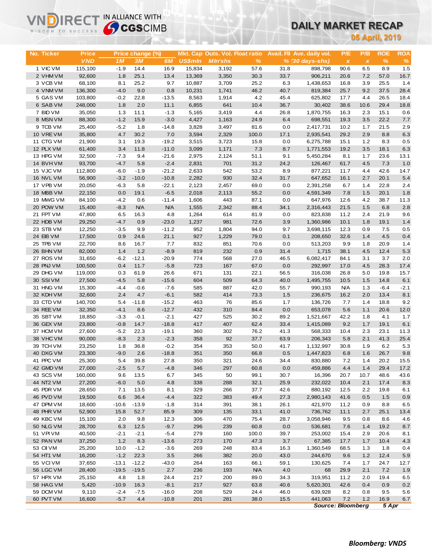# **DAILY MARKET RECAP**

|                        | <b>Sy CGS</b> CIMB<br>WISDOM TO SUCCESS |                |                  |                   |                |                                 |                    |              | <b>DAILY MARKET RECAP</b>  |                          |                           |                |             |  |  |
|------------------------|-----------------------------------------|----------------|------------------|-------------------|----------------|---------------------------------|--------------------|--------------|----------------------------|--------------------------|---------------------------|----------------|-------------|--|--|
|                        |                                         |                |                  |                   |                |                                 |                    |              |                            |                          |                           | 05 April, 2019 |             |  |  |
|                        |                                         |                |                  |                   |                |                                 |                    |              |                            |                          |                           |                |             |  |  |
| No. Ticker             | <b>Price</b>                            |                | Price change (%) |                   |                | Mkt. Cap Outs. Vol. Float ratio |                    |              | Avail. Fil Ave. daily vol. | P/E                      | P/B                       | <b>ROE</b>     | <b>ROA</b>  |  |  |
|                        | <b>VND</b>                              | 1M             | 3M               | 6M                | <b>US\$mln</b> | <b>MIn'shs</b>                  | $\%$               |              | % (30 days-shs)            | $\pmb{\times}$           | $\boldsymbol{\mathsf{x}}$ | $\%$           | $\%$        |  |  |
| 1 VIC VM               | 115,100                                 | $-1.9$         | 14.4             | 16.9              | 15,834         | 3,192                           | 57.6               | 31.8         | 898,798                    | 90.6                     | 6.5                       | 8.9            | 1.5         |  |  |
| 2 VHM VM               | 92,600                                  | 1.8            | 25.1             | 13.4              | 13,369         | 3,350                           | 30.3               | 33.7         | 906,211                    | 20.6                     | 7.2                       | 57.0           | 16.7        |  |  |
| 3 VCB VM               | 68,100                                  | 8.1            | 25.2             | 9.7               | 10,887         | 3,709                           | 25.2               | 6.3          | 1,438,653                  | 16.8                     | 3.9                       | 25.5           | 1.4         |  |  |
| 4 VNM VM               | 136,300                                 | $-4.0$         | 9.0              | 0.8               | 10,231         | 1,741                           | 46.2               | 40.7         | 819,384                    | 25.7                     | 9.2                       | 37.5           | 28.4        |  |  |
| 5 GAS VM<br>6 SAB VM   | 103,800                                 | $-0.2$<br>1.8  | 22.8<br>2.0      | $-13.5$<br>11.1   | 8,563          | 1,914                           | 4.2                | 45.4         | 625,802                    | 17.7                     | 4.4                       | 26.5<br>29.4   | 18.4        |  |  |
| 7 BID VM               | 248,000<br>35,050                       | 1.3            | 11.1             | $-1.3$            | 6,855<br>5,165 | 641<br>3,419                    | 10.4<br>4.4        | 36.7<br>26.8 | 30,402<br>1,870,755        | 38.6<br>16.3             | 10.6<br>2.3               | 15.1           | 18.8<br>0.6 |  |  |
| 8 MSN VM               | 88,300                                  | $-1.2$         | 15.9             | $-3.0$            | 4,427          | 1,163                           | 24.9               | 6.4          | 698,551                    | 19.3                     | 3.5                       | 22.2           | 7.7         |  |  |
| 9 TCB VM               | 25,400                                  | $-5.2$         | 1.8              | $-14.8$           | 3,828          | 3,497                           | 81.6               | 0.0          | 2,417,731                  | 10.2                     | 1.7                       | 21.5           | 2.9         |  |  |
| 10 VREVM               | 35,800                                  | 4.7            | 30.2             | 7.0               | 3,594          | 2,329                           | 100.0              | 17.1         | 2,935,541                  | 29.2                     | 2.9                       | 8.8            | 6.3         |  |  |
| 11 CTG VM              | 21,900                                  | 3.1            | 19.3             | $-19.2$           | 3,515          | 3,723                           | 15.8               | 0.0          | 6,275,788                  | 15.1                     | 1.2                       | 8.3            | 0.5         |  |  |
| 12 PLX VM              | 61,400                                  | 3.4            | 11.8             | $-11.0$           | 3,099          | 1,171                           | 7.3                | 8.7          | 1,771,553                  | 19.2                     | 3.5                       | 18.1           | 6.3         |  |  |
| 13 HPG VM              | 32,500                                  | $-7.3$         | 9.4              | $-21.6$           | 2,975          | 2,124                           | 51.1               | 9.1          | 5,450,284                  | 8.1                      | 1.7                       | 23.6           | 13.1        |  |  |
| 14 BVHVM               | 93,700                                  | $-4.7$         | 5.8              | $-2.4$            | 2,831          | 701                             | 31.2               | 24.2         | 126,467                    | 61.7                     | 4.5                       | 7.3            | 1.0         |  |  |
| 15 VJC VM              | 112,800                                 | $-6.0$         | $-1.9$           | $-21.2$           | 2,633          | 542                             | 53.2               | 8.9          | 877,221                    | 11.7                     | 4.4                       | 42.6           | 14.7        |  |  |
| 16 NVL VM              | 56,900                                  | $-3.2$         | $-10.0$          | $-10.8$           | 2,282          | 930                             | 32.4               | 31.7         | 647,652                    | 16.1                     | 2.7                       | 20.1           | 5.4         |  |  |
| 17 VPB VM              | 20,050                                  | $-6.3$         | 5.8              | $-22.1$           | 2,123          | 2,457                           | 69.0               | 0.0          | 2,391,258                  | 6.7                      | 1.4                       | 22.8           | 2.4         |  |  |
| 18 MBB VM              | 22,150                                  | 0.0            | 19.1             | $-6.5$            | 2,018          | 2,113                           | 55.2               | 0.0          | 4,591,349                  | 7.8                      | 1.5                       | 20.1           | 1.8         |  |  |
| 19 MWG VM              | 84,100                                  | $-4.2$         | 0.6              | $-11.4$           | 1,606          | 443                             | 87.1               | 0.0          | 647,976                    | 12.6                     | 4.2                       | 38.7           | 11.3        |  |  |
| 20 POW VM              | 15,400                                  | $-8.3$         | <b>N/A</b>       | <b>N/A</b>        | 1,555          | 2,342                           | 88.4               | 34.1         | 2,316,443                  | 21.5                     | 1.5                       | 6.8            | 2.8         |  |  |
| 21 FPT VM              | 47,800                                  | 6.5            | 16.3             | 4.8               | 1,264          | 614                             | 81.9               | 0.0          | 823,838                    | 11.2                     | 2.4                       | 21.9           | 9.6         |  |  |
| 22 HDB VM              | 29,250                                  | $-4.7$         | 0.9              | $-23.0$           | 1,237          | 981                             | 72.6               | 3.9          | 1,360,986                  | 10.1                     | 1.8                       | 19.1           | 1.4         |  |  |
| 23 STB VM<br>24 EIB VM | 12,250<br>17,500                        | $-3.5$<br>0.9  | 9.9<br>24.6      | $-11.2$<br>21.1   | 952<br>927     | 1,804<br>1,229                  | 94.0<br>79.0       | 9.7<br>0.1   | 3,698,115<br>208,650       | 12.3<br>32.6             | 0.9<br>1.4                | 7.5<br>4.5     | 0.5<br>0.4  |  |  |
| 25 TPB VM              | 22,700                                  | 8.6            | 16.7             | 7.7               | 832            | 851                             | 70.6               | 0.0          | 513,203                    | 9.9                      | 1.8                       | 20.9           | 1.4         |  |  |
| 26 BHN VM              | 82,000                                  | 1.4            | 1.2              | $-8.9$            | 819            | 232                             | 0.9                | 31.4         | 1,715                      | 38.1                     | 4.5                       | 12.4           | 5.3         |  |  |
| 27 ROS VM              | 31,650                                  | $-6.2$         | $-12.1$          | $-20.9$           | 774            | 568                             | 27.0               | 46.5         | 6,082,417                  | 84.1                     | 3.1                       | 3.7            | 2.0         |  |  |
| 28 PNJ VM              | 100,500                                 | 0.4            | 11.7             | $-5.8$            | 723            | 167                             | 67.0               | 0.0          | 292,997                    | 17.0                     | 4.5                       | 28.3           | 17.4        |  |  |
| 29 DHG VM              | 119,000                                 | 0.3            | 61.9             | 26.6              | 671            | 131                             | 22.1               | 56.5         | 316,038                    | 26.8                     | 5.0                       | 19.8           | 15.7        |  |  |
| 30 SSIVM               | 27,500                                  | $-4.5$         | 5.8              | $-15.6$           | 604            | 509                             | 64.3               | 40.0         | 1,495,755                  | 10.5                     | 1.5                       | 14.8           | 6.1         |  |  |
| 31 HNG VM              | 15,300                                  | $-4.4$         | $-0.6$           | $-7.6$            | 585            | 887                             | 42.0               | 55.7         | 990,193                    | <b>N/A</b>               | 1.3                       | $-6.4$         | $-2.1$      |  |  |
| 32 KDH VM              | 32,600                                  | 2.4            | 4.7              | $-6.1$            | 582            | 414                             | 73.3               | 1.5          | 236,675                    | 16.2                     | 2.0                       | 13.4           | 8.1         |  |  |
| 33 CTD VM              | 140,700                                 | 5.4            | $-11.8$          | $-15.2$           | 463            | 76                              | 85.6               | 1.7          | 136,726                    | 7.7                      | 1.4                       | 18.8           | 9.2         |  |  |
| 34 REE VM              | 32,350                                  | $-4.1$         | 8.6              | $-12.7$           | 432            | 310                             | 84.4               | 0.0          | 653,078                    | 5.6                      | 1.1                       | 20.6           | 12.0        |  |  |
| 35 SBT VM              | 18,850                                  | $-3.3$         | $-0.1$           | $-2.1$            | 427            | 525                             | 30.2               | 89.2         | 1,521,667                  | 42.2                     | 1.8                       | 4.1            | 1.7         |  |  |
| 36 GEX VM              | 23,800                                  | $-0.8$         | 14.7             | $-18.8$           | 417            | 407                             | 62.4               | 33.4         | 1,415,089                  | 9.2                      | 1.7                       | 19.1           | 6.1         |  |  |
| 37 HCM VM              | 27,600                                  | $-5.2$         | 22.3             | $-19.1$           | 360            | 302                             | 76.2               | 41.3         | 568,333                    | 10.4                     | 2.3                       | 23.1           | 11.3        |  |  |
| 38 VHC VM              | 90,000                                  | $-8.3$         | 2.3              | $-2.3$            | 358            | 92                              | 37.7               | 63.9         | 206,343                    | 5.8                      | 2.1                       | 41.3           | 25.4        |  |  |
| 39 TCH VM<br>40 DXG VM | 23,250<br>23,300                        | 1.8<br>$-9.0$  | 36.8<br>2.6      | $-0.2$<br>$-18.8$ | 354<br>351     | 353<br>350                      | 50.0<br>66.8       | 41.7<br>0.5  | 1,132,997<br>1,447,823     | 30.8<br>6.8              | 1.9<br>1.6                | 6.2<br>26.7    | 5.3<br>9.8  |  |  |
| 41 PPC VM              | 25,300                                  | 5.4            | 39.8             | 27.8              | 350            | 321                             | 24.6               | 34.4         | 830,880                    | 7.2                      | 1.4                       | 20.2           | 15.5        |  |  |
| 42 GMD VM              | 27,000                                  | $-2.5$         | 5.7              | $-4.8$            | 346            | 297                             | 60.8               | 0.0          | 459,886                    | 4.4                      | 1.4                       | 29.4           | 17.2        |  |  |
| 43 SCS VM              | 160,000                                 | 9.6            | 13.5             | 6.7               | 345            | 50                              | 99.1               | 30.7         | 16,396                     | 20.7                     | 10.7                      | 48.6           | 43.6        |  |  |
| 44 NT2 VM              | 27,200                                  | $-6.0$         | 5.0              | 4.8               | 338            | 288                             | 32.1               | 25.9         | 232,022                    | 10.4                     | 2.1                       | 17.4           | 8.3         |  |  |
| 45 PDR VM              | 28,650                                  | 7.1            | 13.5             | 8.1               | 329            | 266                             | 37.7               | 42.6         | 880,192                    | 12.5                     | 2.2                       | 19.8           | 6.1         |  |  |
| 46 PVD VM              | 19,500                                  | 6.6            | 36.4             | $-4.4$            | 322            | 383                             | 49.4               | 27.3         | 2,980,143                  | 41.6                     | 0.5                       | $1.5$          | 0.9         |  |  |
| 47 DPM VM              | 18,600                                  | $-10.6$        | $-13.9$          | $-1.8$            | 314            | 391                             | 38.1               | 26.1         | 421,970                    | 11.2                     | 0.9                       | 8.8            | 6.5         |  |  |
| 48 PHR VM              | 52,900                                  | 15.8           | 52.7             | 85.9              | 309            | 135                             | 33.1               | 41.0         | 736,762                    | 11.1                     | 2.7                       | 25.1           | 13.4        |  |  |
| 49 KBC VM              | 15,100                                  | 2.0            | 9.8              | 12.3              | 306            | 470                             | 75.4               | 28.7         | 3,058,946                  | 9.5                      | 0.8                       | 8.6            | 4.6         |  |  |
| 50 NLG VM              | 28,700                                  | 6.3            | 12.5             | $-9.7$            | 296            | 239                             | 60.8               | 0.0          | 536,681                    | 7.6                      | 1.4                       | 19.2           | 8.7         |  |  |
| 51 VPI VM              | 40,500                                  | $-2.1$         | $-2.1$           | $-5.4$            | 279            | 160                             | 100.0              | 39.7         | 253,002                    | 15.4                     | 2.9                       | 20.6           | 8.1         |  |  |
| 52 PAN VM              | 37,250                                  | 1.2            | 8.3              | $-13.6$           | 273            | 170                             | 47.3               | 3.7          | 67,385                     | 17.7                     | 1.7                       | 10.4           | 4.3         |  |  |
| 53 CII VM              | 25,200                                  | 10.0           | $-1.2$           | $-3.6$            | 269            | 248                             | 83.4               | 16.3         | 1,360,549                  | 68.5                     | 1.3                       | 1.8            | 0.4         |  |  |
| 54 HT1 VM              | 16,200                                  | $-1.2$         | 22.3             | 3.5               | 266            | 382                             | 20.0               | 43.0         | 244,670                    | 9.6                      | 1.2                       | 12.4           | 5.9         |  |  |
| 55 VCIVM               | 37,650                                  | $-13.1$        | $-12.2$          | $-43.0$           | 264            | 163                             | 66.1               | 59.1         | 130,625                    | 7.4                      | 1.7                       | 24.7           | 12.7        |  |  |
| 56 LGC VM<br>57 HPX VM | 28,400<br>25,150                        | $-19.5$<br>4.8 | $-19.5$<br>1.8   | 2.7<br>24.4       | 236<br>217     | 193<br>200                      | <b>N/A</b><br>89.0 | 4.0<br>34.3  | 68<br>319,951              | 29.9<br>11.2             | 2.1<br>2.0                | 7.2<br>19.4    | 1.9<br>6.5  |  |  |
| 58 HAG VM              | 5,420                                   | $-10.9$        | 16.3             | $-8.1$            | 217            | 927                             | 63.8               | 40.6         | 5,620,301                  | 42.6                     | 0.4                       | 0.9            | 0.2         |  |  |
| 59 DCM VM              | 9,110                                   | $-2.4$         | $-7.5$           | $-16.0$           | 208            | 529                             | 24.4               | 46.0         | 639,928                    | 8.2                      | 0.8                       | 9.5            | 5.6         |  |  |
| 60 PVT VM              | 16,600                                  | $-5.7$         | 4.4              | $-10.8$           | 201            | 281                             | 38.0               | 15.5         | 441,063                    | 7.2                      | 1.2                       | 16.9           | 6.7         |  |  |
|                        |                                         |                |                  |                   |                |                                 |                    |              |                            | <b>Source: Bloomberg</b> |                           | 5 Apr          |             |  |  |

**VNDIRECT IN ALLIANCE WITH**